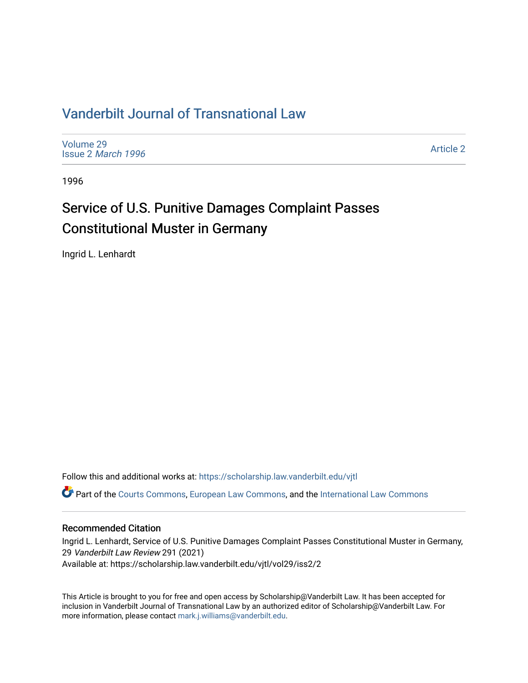## [Vanderbilt Journal of Transnational Law](https://scholarship.law.vanderbilt.edu/vjtl)

[Volume 29](https://scholarship.law.vanderbilt.edu/vjtl/vol29) Issue 2 [March 1996](https://scholarship.law.vanderbilt.edu/vjtl/vol29/iss2)

[Article 2](https://scholarship.law.vanderbilt.edu/vjtl/vol29/iss2/2) 

1996

# Service of U.S. Punitive Damages Complaint Passes Constitutional Muster in Germany

Ingrid L. Lenhardt

Follow this and additional works at: [https://scholarship.law.vanderbilt.edu/vjtl](https://scholarship.law.vanderbilt.edu/vjtl?utm_source=scholarship.law.vanderbilt.edu%2Fvjtl%2Fvol29%2Fiss2%2F2&utm_medium=PDF&utm_campaign=PDFCoverPages) 

Part of the [Courts Commons,](http://network.bepress.com/hgg/discipline/839?utm_source=scholarship.law.vanderbilt.edu%2Fvjtl%2Fvol29%2Fiss2%2F2&utm_medium=PDF&utm_campaign=PDFCoverPages) [European Law Commons](http://network.bepress.com/hgg/discipline/1084?utm_source=scholarship.law.vanderbilt.edu%2Fvjtl%2Fvol29%2Fiss2%2F2&utm_medium=PDF&utm_campaign=PDFCoverPages), and the [International Law Commons](http://network.bepress.com/hgg/discipline/609?utm_source=scholarship.law.vanderbilt.edu%2Fvjtl%2Fvol29%2Fiss2%2F2&utm_medium=PDF&utm_campaign=PDFCoverPages) 

## Recommended Citation

Ingrid L. Lenhardt, Service of U.S. Punitive Damages Complaint Passes Constitutional Muster in Germany, 29 Vanderbilt Law Review 291 (2021) Available at: https://scholarship.law.vanderbilt.edu/vjtl/vol29/iss2/2

This Article is brought to you for free and open access by Scholarship@Vanderbilt Law. It has been accepted for inclusion in Vanderbilt Journal of Transnational Law by an authorized editor of Scholarship@Vanderbilt Law. For more information, please contact [mark.j.williams@vanderbilt.edu](mailto:mark.j.williams@vanderbilt.edu).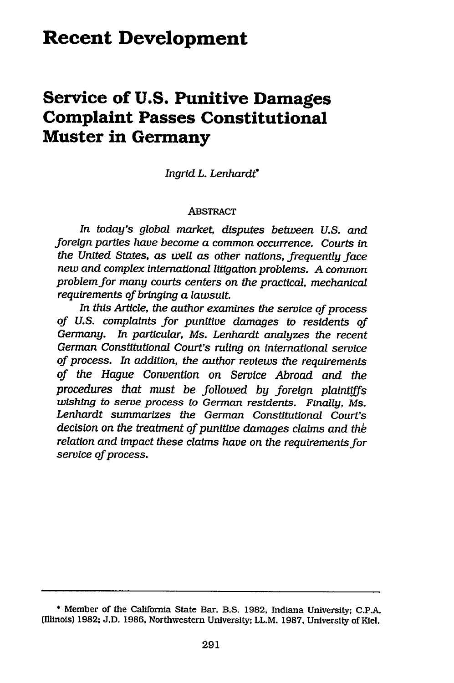## **Recent Development**

## **Service of U.S. Punitive Damages Complaint Passes Constitutional Muster in Germany**

*Ingrid L. Lenhardt*

#### ABSTRACT

*In today's global market, disputes between U.S. and foreign parties have become a common occurrence. Courts in the United States, as well as other nations, frequently face new and complex international litigation problems. A common problem for many courts centers on the practical, mechanical requirements of bringing a lawsuit.*

*In this Article, the author examines the service of process of U.S. complaints for punitive damages to residents of Germany. In particular, Ms. Lenhardt analyzes the recent German Constitutional Court's ruling on international service of process. In addition, the author reviews the requirements of the Hague Convention on Service Abroad and the procedures that must be followed by foreign plaintiffs wishing to serve process to German residents. Finally, Ms. Lenhardt summarizes the German Constitutional Court's decision on the treatment of punitive damages claims and the relation and impact these claims have on the requirements for service of process.*

<sup>\*</sup> Member of the California State Bar. B.S. 1982, Indiana University; C.P.A. (Illinois) 1982; J.D. 1986, Northwestern University; LL.M. 1987, University of Kiel.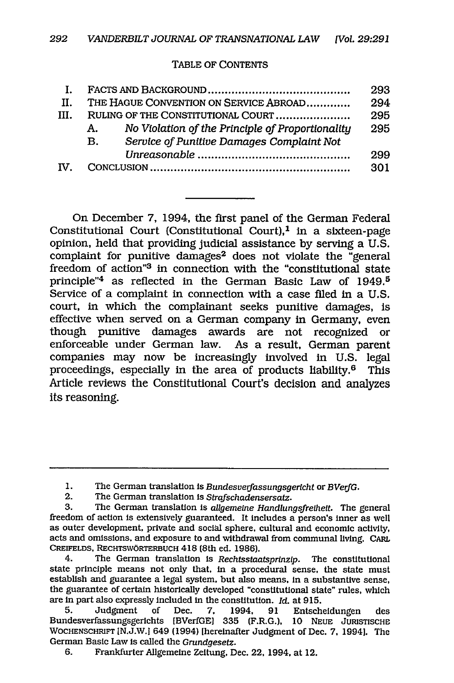#### TABLE OF CONTENTS

|      |                                                        | 293 |
|------|--------------------------------------------------------|-----|
| H.   | THE HAGUE CONVENTION ON SERVICE ABROAD                 | 294 |
| III. | RULING OF THE CONSTITUTIONAL COURT                     | 295 |
|      | No Violation of the Principle of Proportionality<br>A. | 295 |
|      | Service of Punitive Damages Complaint Not<br><b>B.</b> |     |
|      |                                                        | 299 |
| TV.  |                                                        | 301 |

On December 7, 1994, the first panel of the German Federal Constitutional Court (Constitutional Court), $<sup>1</sup>$  in a sixteen-page</sup> opinion, held that providing judicial assistance by serving a U.S. complaint for punitive damages<sup>2</sup> does not violate the "general freedom of action"3 in connection with the "constitutional state principle"4 as reflected in the German Basic Law of 1949.5 Service of a complaint in connection with a case filed in a U.S. court, in which the complainant seeks punitive damages, is effective when served on a German company in Germany, even though punitive damages awards are not recognized or enforceable under German law. As a result, German parent companies may now be increasingly involved in U.S. legal proceedings, especially in the area of products liability. $6$  This Article reviews the Constitutional Court's decision and analyzes its reasoning.

4. The German translation is *Rechtsstaatsprnzlp.* The constitutional state principle means not only that, in a procedural sense, the state must establish and guarantee a legal system, but also means, in a substantive sense, the guarantee of certain historically developed "constitutional state" rules, which are in part also expressly included in the constitution. *Id.* at 915.

5. Judgment of Dec. **7.** 1994, 91 Entscheidungen des Bundesverfassungsgerichts [BVerfGE] 335 (F.R.G.), 10 NEUE **JURISTISCHE** WOCHENSCHRIFT [N.J.W.l 649 (1994) [hereinafter Judgment of Dec. **7.** 1994]. The German Basic Law is called the *Grundgesetz.*

6. Frankfurter Allgemeine Zeitung, Dec. 22, 1994, at 12.

<sup>1.</sup> The German translation is *Bundesverfassungsgericht* or *BVerfG.*

<sup>2.</sup> The German translation is *Strafschadensersatz.*

<sup>3.</sup> The German translation is *ailgemelne Handlungsfrelhelt.* The general freedom of action is extensively guaranteed. It includes a person's inner as well as outer development, private and social sphere, cultural and economic activity, acts and omissions, and exposure to and withdrawal from communal living. CARL CREIFELDS, RECHTSWORTERBUCH 418 (8th ed. 1986).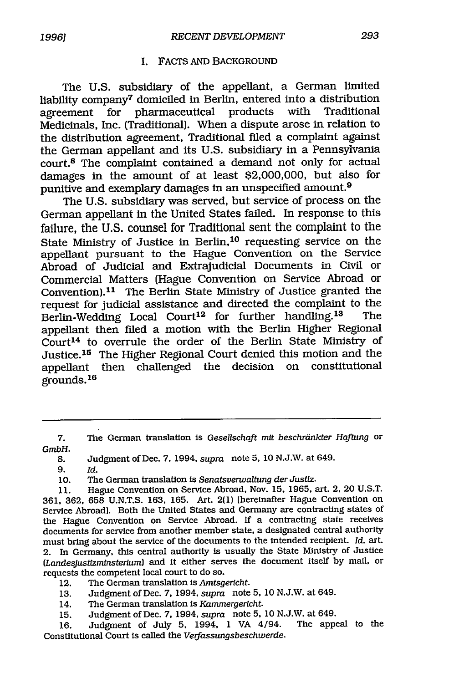#### I. FACTS AND BACKGROUND

The U.S. subsidiary of the appellant, a German limited liability company7 domiciled in Berlin, entered into a distribution agreement for pharmaceutical products with Medicinals, Inc. (Traditional). When a dispute arose in relation to the distribution agreement, Traditional filed a complaint against the German appellant and its U.S. subsidiary in a Pennsylvania court. 8 The complaint contained a demand not only for actual damages in the amount of at least \$2,000,000, but also for punitive and exemplary damages in an unspecified amount.9

The U.S. subsidiary was served, but service of process on the German appellant in the United States failed. In response to this failure, the U.S. counsel for Traditional sent the complaint to the State Ministry of Justice in Berlin, 10 requesting service on the appellant pursuant to the Hague Convention on the Service Abroad of Judicial and Extrajudicial Documents in Civil or Commercial Matters (Hague Convention on Service Abroad or Convention).<sup>11</sup> The Berlin State Ministry of Justice granted the request for judicial assistance and directed the complaint to the<br>Berlin-Wedding, Local, Court<sup>12</sup>, for, further, handling.<sup>13</sup>, The Berlin-Wedding Local Court<sup>12</sup> for further handling.<sup>13</sup> appellant then filed a motion with the Berlin Higher Regional Court 14 to overrule the order of the Berlin State Ministry of Justice.<sup>15</sup> The Higher Regional Court denied this motion and the appellant then challenged the decision on constitutional grounds. <sup>16</sup>

*9. Id.*

- 13. Judgment of Dec. 7, 1994, *supra* note 5, 10 N.J.W. at 649.
- 14. The German translation is *Kammergericht.*
- 15. Judgment of Dec. *7,* 1994, *supra* note *5,* 10 N.J.W. at 649.

16. Judgment of July 5, 1994, 1 VA 4/94. Constitutional Court is called the *Verfassungsbeschwerde*.

<sup>7.</sup> The German translation is *Gesellschaft mit beschrdnkter Haftung* or *GmbH.*

**<sup>8.</sup>** Judgment of Dec. 7, 1994, *supra* note 5, 10 N.J.W. at 649.

**<sup>10.</sup>** The German translation is *Senatsverwaltung der Justlz.*

<sup>11.</sup> Hague Convention on Service Abroad, Nov. 15, 1965, art. 2, 20 U.S.T. 361, 362, 658 U.N.T.S. 163, 165. Art. 2(1) [hereinafter Hague Convention on Service Abroad]. Both the United States and Germany are contracting states of the Hague Convention on Service Abroad. If a contracting state receives documents for service from another member state, a designated central authority must bring about the service of the documents to the intended recipient. *Id.* art. 2. In Germany, this central authority is usually the State Ministry of Justice *(LandesJustfzminsterlum)* and it either serves the document itself by mail, or requests the competent local court to do so.

<sup>12.</sup> The German translation is *Amtsgericht.*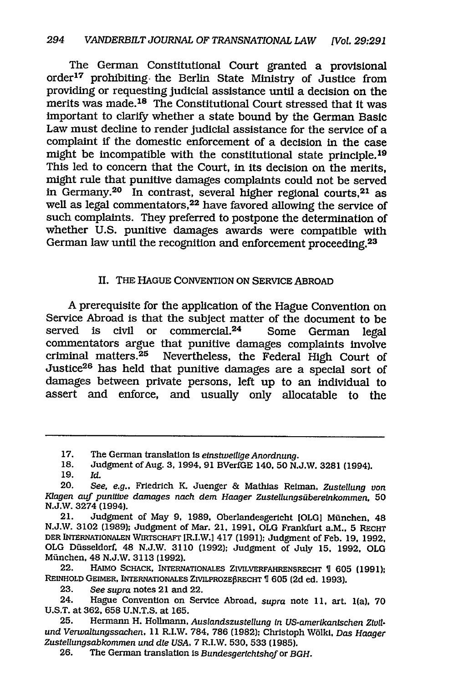The German Constitutional Court granted a provisional order 17 prohibiting. the Berlin State Ministry of Justice from providing or requesting judicial assistance until a decision on the merits was made. 18 The Constitutional Court stressed that it was important to clarify whether a state bound by the German Basic Law must decline to render judicial assistance for the service of a complaint if the domestic enforcement of a decision in the case might be incompatible with the constitutional state principle. <sup>19</sup> This led to concern that the Court, in its decision on the merits, might rule that punitive damages complaints could not be served in Germany.<sup>20</sup> In contrast, several higher regional courts,<sup>21</sup> as well as legal commentators,<sup>22</sup> have favored allowing the service of such complaints. They preferred to postpone the determination of whether U.S. punitive damages awards were compatible with German law until the recognition and enforcement proceeding.<sup>23</sup>

## II. THE HAGUE CONVENTION ON SERVICE ABROAD

A prerequisite for the application of the Hague Convention on Service Abroad is that the subject matter of the document to be served is civil or commercial.<sup>24</sup> Some German legal commentators argue that punitive damages complaints involve criminal matters. 25 Nevertheless, the Federal High Court of Justice26 has held that punitive damages are a special sort of damages between private persons, left up to an individual to assert and enforce, and usually only allocatable to the

- 18. Judgment of Aug. **3,** 1994, 91 BVerfGE 140, 50 N.J.W. 3281 (1994).
- 19. Id.

<sup>17.</sup> The German translation is *einstweilige Anordnung*.

<sup>20.</sup> *See, e.g..* Friedrich K. Juenger & Mathias Reiman, *Zustellung von Kiagen auf punitive damages nach dem Haager Zustellungsuiberelnkommen,* 50 N.J.W. 3274 (1994).

<sup>21.</sup> Judgment of May *9,* 1989, Oberlandesgericht [OLGI Milnchen, 48 N.J.W. 3102 (1989); Judgment of Mar. 21, 1991, OLG Frankfurt a.M., 5 RECHT DER INTERNATIONALEN WIRTscHAFT IR.I.W.] 417 (1991); Judgment of Feb. **19,** 1992, **OLG** Disseldorf, 48 N.J.W. 3110 (1992); Judgment of July **15.** 1992. OLG Mfinchen, 48 N.J.W. 3113 (1992).

<sup>22.</sup> HAIMO SCHACK, INTERNATIONALES ZIVLVERFAHRENSRECHT *1* **605** (1991); REINHOLD GEIMER, INTERNATIONALES ZIVILPROZE§RECHT **1** 605 (2d ed. 1993).

<sup>23.</sup> *See supra* notes 21 and 22.

<sup>24.</sup> Hague Convention on Service Abroad, *supra* note *11,* art. 1(a), 70 U.S.T. at 362, 658 U.N.T.S. at 165.

<sup>25.</sup> Hermann H. Hollmann, Auslandszustellung in US-amerikanischen Zivil*und Verwaltungssachen,* 11 R.I.W. 784, 786 (1982); Christoph Wblkl, *Das Haager Zusteilungsabkommen und die USA,* 7 R.I.W. 530, 533 (1985).

<sup>26.</sup> The German translation Is *Bundesgerlchtshof* or *BGH.*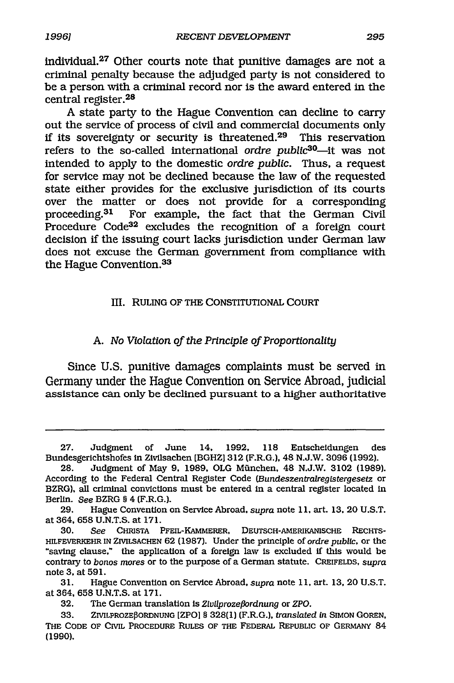individual.27 Other courts note that punitive damages are not a criminal penalty because the adjudged party is not considered to be a person with a criminal record nor is the award entered in the central register. <sup>28</sup>

A state party to the Hague Convention can decline to carry out the service of process of civil and commercial documents only if its sovereignty or security is threatened. 29 This reservation refers to the so-called international *ordre public*<sup>30</sup>—it was not intended to apply to the domestic *ordre public.* Thus, a request for service may not be declined because the law of the requested state either provides for the exclusive jurisdiction of its courts over the matter or does not provide for a corresponding<br>proceeding.<sup>31</sup> For example, the fact that the German Civil For example, the fact that the German Civil Procedure Code32 excludes the recognition of a foreign court decision if the issuing court lacks jurisdiction under German law does not excuse the German government from compliance with the Hague Convention. <sup>33</sup>

## III. RULING OF THE CONSTITUTIONAL COURT

## *A. No Violation of the Principle of Proportionality*

Since **U.S.** punitive damages complaints must be served in Germany under the Hague Convention on Service Abroad, judicial assistance can only be declined pursuant to a higher authoritative

<sup>27.</sup> Judgment of June *14,* 1992, 118 Entscheidungen des Bundesgerichtshofes in Zivilsachen [BGHZI 312 (F.R.G.), 48 N.J.W. 3096 (1992).

<sup>28.</sup> Judgment of May 9, 1989, OLG Mfinchen, 48 N.J.W. 3102 (1989). According to the Federal Central Register Code (Bundeszentralregistergesetz or BZRG), all criminal convictions must be entered in a central register located in Berlin. *See* BZRG § 4 (F.R.G.).

<sup>29.</sup> Hague Convention on Service Abroad, *supra* note **11,** art. **13,** 20 U.S.T. at 364, 658 U.N.T.S. at 171.

**<sup>30.</sup>** *See* CHRISTA PFEIL-KAMMERER, DEUTSCH-AMERIKANISCHE RECHTS-HILFEVERKEHR IN ZIVILSACHEN 62 (1987). Under the principle of *ordre publc,* or the "saving clause," the application of a foreign law is excluded if this would be contrary to *bonos mores* or to the purpose of a German statute. CREIFELDS, *supra* note **3,** at 591.

<sup>31.</sup> Hague Convention on Service Abroad, *supra* note 11, art. **13,** 20 U.S.T. at 364, 658 U.N.T.S. at 171.

**<sup>32.</sup>** The German translation is *Zivilprozefordnung* or *ZPO.*

<sup>33.</sup> ZIVILPROZEBORDNUNG [ZPO] § 328(1) (F.R.G.), translated in SIMON GOREN, THE CODE OF CIVIL PROCEDURE RULES OF THE FEDERAL REPUBLIC OF GERMANY 84 (1990).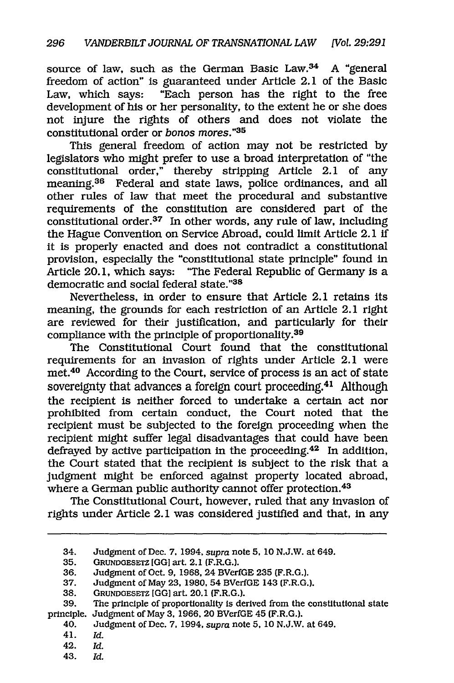source of law, such as the German Basic Law.<sup>34</sup> A "general freedom of action" is guaranteed under Article 2.1 of the Basic Law, which says: "Each person has the right to the free development of his or her personality, to the extent he or she does not injure the rights of others and does not violate the constitutional order or *bonos mores."3 <sup>5</sup>*

This general freedom of action may not be restricted by legislators who might prefer to use a broad interpretation of "the constitutional order," thereby stripping Article 2.1 of any meaning.<sup>36</sup> Federal and state laws, police ordinances, and all other rules of law that meet the procedural and substantive requirements of the constitution are considered part of the constitutional order. $37$  In other words, any rule of law, including the Hague Convention on Service Abroad, could limit Article 2.1 if it is properly enacted and does not contradict a constitutional provision, especially the "constitutional state principle" found in Article 20.1, which says: "The Federal Republic of Germany is a democratic and social federal state."38

Nevertheless, in order to ensure that Article 2.1 retains its meaning, the grounds for each restriction of an Article 2.1 right are reviewed for their justification, and particularly for their compliance with the principle of proportionality.<sup>39</sup>

The Constitutional Court found that the constitutional requirements for an invasion of rights under Article 2.1 were met.40 According to the Court, service of process is an act of state sovereignty that advances a foreign court proceeding.<sup>41</sup> Although the recipient is neither forced to undertake a certain act nor prohibited from certain conduct, the Court noted that the recipient must be subjected to the foreign proceeding when the recipient might suffer legal disadvantages that could have been defrayed by active participation in the proceeding.<sup>42</sup> In addition, the Court stated that the recipient is subject to the risk that a judgment might be enforced against property located abroad, where a German public authority cannot offer protection.<sup>43</sup>

The Constitutional Court, however, ruled that any invasion of rights under Article 2.1 was considered justified and that, in any

<sup>34.</sup> Judgment of Dec. **7,** 1994, *supra* note 5, 10 N.J.W. at 649.

<sup>35.</sup> GRUNDGESETZ **[GGI** art. 2.1 (F.R.G.).

<sup>36.</sup> Judgment of Oct. **9,** 1968, 24 BVerfGE 235 (F.R.G.).

<sup>37.</sup> Judgment of May 23, 1980, 54 BVerfGE 143 (F.R.G.).

<sup>38.</sup> **GRUNDGESETZ** [GG] art. 20.1 (F.R.G.).

<sup>39.</sup> The principle of proportionality is derived from the constitutional state principle. Judgment of May 3, 1966. 20 BVerfGE 45 (F.R.G.).

<sup>40.</sup> Judgment of Dec. **7.** 1994, *supra* note 5, 10 N.J.W. at 649.

<sup>41.</sup> *Id.*

<sup>42.</sup> *Id.*

<sup>43.</sup> *Id.*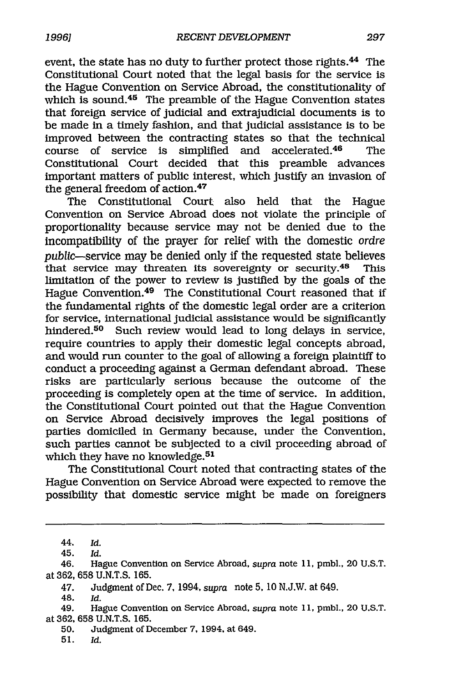event, the state has no duty to further protect those rights.<sup>44</sup> The Constitutional Court noted that the legal basis for the service is the Hague Convention on Service Abroad, the constitutionality of which is sound. $45$  The preamble of the Hague Convention states that foreign service of judicial and extrajudicial documents is to be made in a timely fashion, and that judicial assistance is to be improved between the contracting states so that the technical course of service is simplified and accelerated.<sup>46</sup> The Constitutional Court decided that this preamble advances important matters of public interest, which justify an invasion of the general freedom of action.<sup>47</sup>

The Constitutional Court also held that the Hague Convention on Service Abroad does not violate the principle of proportionality because service may not be denied due to the incompatibility of the prayer for relief with the domestic *ordre* public-service may be denied only if the requested state believes that service may threaten its sovereignty or security.<sup>48</sup> This limitation of the power to review is justified by the goals of the Hague Convention.<sup>49</sup> The Constitutional Court reasoned that if the fundamental rights of the domestic legal order are a criterion for service, international judicial assistance would be significantly hindered.<sup>50</sup> Such review would lead to long delays in service, require countries to apply their domestic legal concepts abroad, and would run counter to the goal of allowing a foreign plaintiff to conduct a proceeding against a German defendant abroad. These risks are particularly serious because the outcome of the proceeding is completely open at the time of service. In addition, the Constitutional Court pointed out that the Hague Convention on Service Abroad decisively improves the legal positions of parties domiciled in Germany because, under the Convention, such parties cannot be subjected to a civil proceeding abroad of which they have no knowledge.<sup>51</sup>

The Constitutional Court noted that contracting states of the Hague Convention on Service Abroad were expected to remove the possibility that domestic service might be made on foreigners

48. *Id.*

51. *Id.*

<sup>44.</sup> *Id.*

<sup>45.</sup> *Id.*

<sup>46.</sup> Hague Convention on Service Abroad, *supra* note 11, pmbl., 20 U.S.T. at 362, 658 U.N.T.S. 165.

<sup>47.</sup> Judgment of Dec. 7, 1994. *supra* note 5. 10 N.J.W. at 649.

<sup>49.</sup> Hague Convention on Service Abroad, *supra* note 11, pmbl., 20 U.S.T. at 362, 658 U.N.T.S. 165.

<sup>50.</sup> Judgment of December 7, 1994. at 649.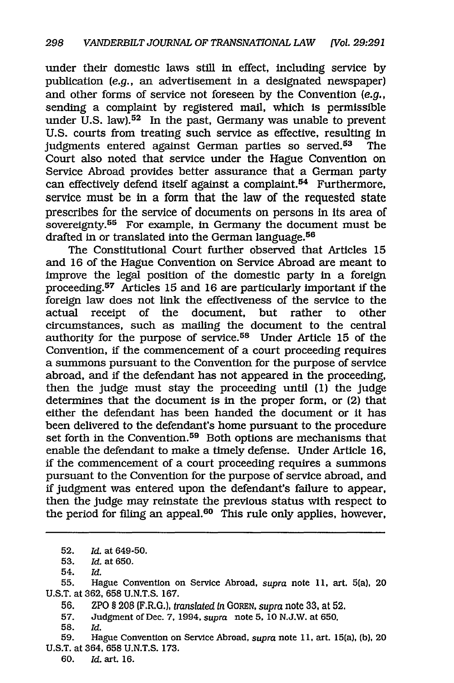under their domestic laws still in effect, including service by publication *(e.g.,* an advertisement in a designated newspaper) and other forms of service not foreseen by the Convention *(e.g.,* sending a complaint by registered mail, which is permissible under U.S. law).<sup>52</sup> In the past, Germany was unable to prevent U.S. courts from treating such service as effective, resulting in judgments entered against German parties so served.<sup>53</sup> The Court also noted that service under the Hague Convention on Service Abroad provides better assurance that a German party can effectively defend itself against a complaint.<sup>54</sup> Furthermore, service must be in a form that the law of the requested state prescribes for the service of documents on persons in its area of sovereignty.<sup>55</sup> For example, in Germany the document must be drafted in or translated into the German language.<sup>56</sup>

The Constitutional Court further observed that Articles 15 and 16 of the Hague Convention on Service Abroad are meant to improve the legal position of the domestic party in a foreign proceeding.<sup>57</sup> Articles 15 and 16 are particularly important if the foreign law does not link the effectiveness of the service to the actual receipt of the document, but rather to other circumstances, such as mailing the document to the central authority for the purpose of service.58 Under Article 15 of the Convention, if the commencement of a court proceeding requires a summons pursuant to the Convention for the purpose of service abroad, and if the defendant has not appeared in the proceeding, then the judge must stay the proceeding until (1) the judge determines that the document is in the proper form, or (2) that either the defendant has been handed the document or it has been delivered to the defendant's home pursuant to the procedure set forth in the Convention.<sup>59</sup> Both options are mechanisms that enable the defendant to make a timely defense. Under Article 16, if the commencement of a court proceeding requires a summons pursuant to the Convention for the purpose of service abroad, and if judgment was entered upon the defendant's failure to appear, then the judge may reinstate the previous status with respect to the period for filing an appeal.<sup>60</sup> This rule only applies, however,

**55.** Hague Convention on Service Abroad, *supra* note **11,** art. 5(a), 20 U.S.T. at 362, 658 U.N.T.S. 167.

56. ZPO § 208 (F.R.G.), *translated in GOREN, supra* note 33, at 52.

57. Judgment of Dec. 7, 1994, *supra* note *5,* 10 N.J.W. at 650.

**58.** *Id.*

59. Hague Convention on Service Abroad, *supra* note **11.** art. 15(a), (b), 20 U.S.T. at 364, 658 U.N.T.S. 173.

60. Id. art. 16.

<sup>52.</sup> *Id.* at 649-50.

<sup>53.</sup> Id. at 650.

<sup>54.</sup> *Id.*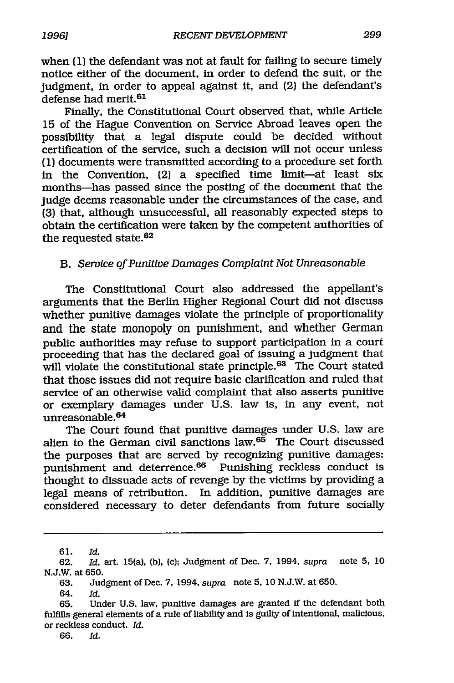when (1) the defendant was not at fault for failing to secure timely notice either of the document, in order to defend the suit, or the judgment, in order to appeal against it, and (2) the defendant's defense had merit.<sup>61</sup>

Finally, the Constitutional Court observed that, while Article 15 of the Hague Convention on Service Abroad leaves open the possibility that a legal dispute could be decided without certification of the service, such a decision will not occur unless (1) documents were transmitted according to a procedure set forth in the Convention, (2) a specified time limit-at least six months-has passed since the posting of the document that the judge deems reasonable under the circumstances of the case, and (3) that, although unsuccessful, all reasonably expected steps to obtain the certification were taken by the competent authorities of the requested state.<sup>62</sup>

### *B. Service of Punitive Damages Complaint Not Unreasonable*

The Constitutional Court also addressed the appellant's arguments that the Berlin Higher Regional Court did not discuss whether punitive damages violate the principle of proportionality and the state monopoly on punishment, and whether German public authorities may refuse to support participation in a court proceeding that has the declared goal of issuing a judgment that will violate the constitutional state principle.<sup>63</sup> The Court stated that those issues did not require basic clarification and ruled that service of an otherwise valid complaint that also asserts punitive or exemplary damages under U.S. law is, in any event, not unreasonable.<sup>64</sup>

The Court found that punitive damages under U.S. law are alien to the German civil sanctions law.<sup>65</sup> The Court discussed the purposes that are served by recognizing punitive damages: punishment and deterrence.66 Punishing reckless conduct is thought to dissuade acts of revenge by the victims by providing a legal means of retribution. In addition, punitive damages are considered necessary to deter defendants from future socially

*64. Id.*

<sup>61.</sup> *Id.*

<sup>62.</sup> *Id.* art. 15(a), (b), (c); Judgment of Dec. *7,* 1994, *supra* note 5, 10 N.J.W. at 650.

<sup>63.</sup> Judgment of Dec. **7.** 1994, *supra* note **5,** 10 N.J.W. at 650.

<sup>65.</sup> Under U.S. law, punitive damages are granted if the defendant both fulfills general elements of a rule of liability and is guilty of intentional, malicious. or reckless conduct. *Id.*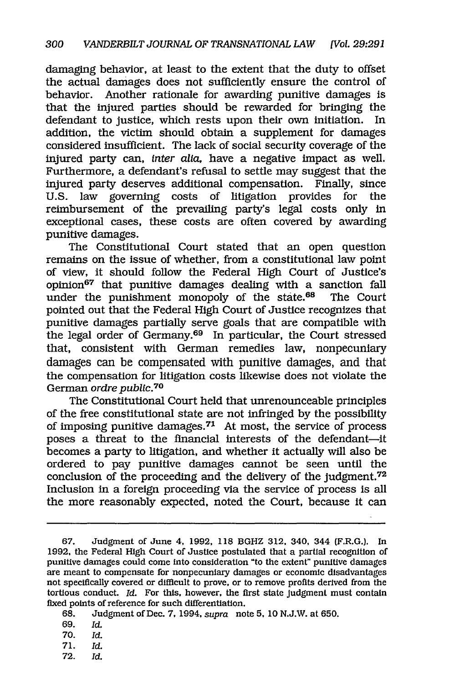damaging behavior, at least to the extent that the duty to offset the actual damages does not sufficiently ensure the control of behavior. Another rationale for awarding punitive damages is that the injured parties should be rewarded for bringing the defendant to justice, which rests upon their own initiation. In addition, the victim should obtain a supplement for damages considered insufficient. The lack of social security coverage of the injured party can, *inter alia,* have a negative impact as well. Furthermore, a defendant's refusal to settle may suggest that the injured party deserves additional compensation. Finally, since U.S. law governing costs of litigation provides for the reimbursement of the prevailing party's legal costs only in exceptional cases, these costs are often covered by awarding punitive damages.

The Constitutional Court stated that an open question remains on the issue of whether, from a constitutional law point of view, it should follow the Federal High Court of Justice's opinion<sup>67</sup> that punitive damages dealing with a sanction fall under the punishment monopoly of the state.<sup>68</sup> The Court pointed out that the Federal High Court of Justice recognizes that punitive damages partially serve goals that are compatible with the legal order of Germany.<sup>69</sup> In particular, the Court stressed that, consistent with German remedies law, nonpecuniary damages can be compensated with punitive damages, and that the compensation for litigation costs likewise does not violate the German *ordre public.70*

The Constitutional Court held that unrenounceable principles of the free constitutional state are not infringed by the possibility of imposing punitive damages.<sup>71</sup> At most, the service of process poses a threat to the financial interests of the defendant-it becomes a party to litigation, and whether it actually will also be ordered to pay punitive damages cannot be seen until the conclusion of the proceeding and the delivery of the judgment.72 Inclusion in a foreign proceeding via the service of process is all the more reasonably expected, noted the Court, because it can

- 69. *Id.*
- 70. *Id.*
- 71. *Id.*
- 72. *Id.*

<sup>67.</sup> Judgment of June *4,* 1992, 118 BGHZ 312, 340, 344 (F.R.G.). In 1992, the Federal High Court of Justice postulated that a partial recognition of punitive damages could come into consideration "to the extent" punitive damages are meant to compensate for nonpecuniary damages or economic disadvantages not specifically covered or difficult to prove, or to remove profits derived from the tortious conduct. *Id.* For this, however, the first state Judgment must contain fixed points of reference for such differentiation.

<sup>68.</sup> Judgment of Dec. 7, 1994, *supra* note 5, 10 N.J.W. at 650.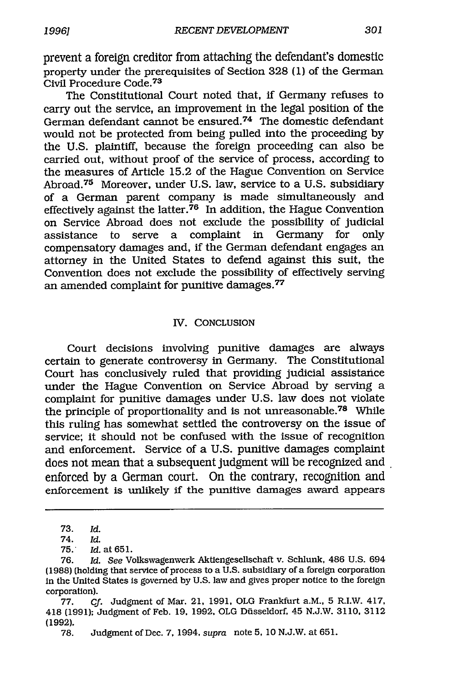prevent a foreign creditor from attaching the defendant's domestic property under the prerequisites of Section 328 (1) of the German Civil Procedure Code. <sup>73</sup>

The Constitutional Court noted that, if Germany refuses to carry out the service, an improvement in the legal position of the German defendant cannot be ensured.<sup>74</sup> The domestic defendant would not be protected from being pulled into the proceeding by the U.S. plaintiff, because the foreign proceeding can also be carried out, without proof of the service of process, according to the measures of Article 15.2 of the Hague Convention on Service Abroad.<sup>75</sup> Moreover, under U.S. law, service to a U.S. subsidiary of a German parent company is made simultaneously and effectively against the latter. $76$  In addition, the Hague Convention on Service Abroad does not exclude the possibility of judicial assistance to serve a complaint in Germany for only assistance to serve a complaint in Germany compensatory damages and, if the German defendant engages an attorney in the United States to defend against this suit, the Convention does not exclude the possibility of effectively serving an amended complaint for punitive damages.<sup>77</sup>

### IV. CONCLUSION

Court decisions involving punitive damages are always certain to generate controversy in Germany. The Constitutional Court has conclusively ruled that providing judicial assistance under the Hague Convention on Service Abroad by serving a complaint for punitive damages under U.S. law does not violate the principle of proportionality and is not unreasonable. 78 While this ruling has somewhat settled the controversy on the issue of service; it should not be confused with the issue of recognition and enforcement. Service of a U.S. punitive damages complaint does not mean that a subsequent judgment will be recognized and enforced by a German court. On the contrary, recognition and enforcement is unlikely if the punitive damages award appears

78. Judgment of Dec. 7, 1994, *supra* note 5, 10 N.J.W. at 651.

<sup>73.</sup> *Id.*

<sup>74.</sup> *Id.*

<sup>75.</sup> Id. at 651.

<sup>76.</sup> *Id. See* Volkswagenwerk Aktiengesellschaft v. Schlunk, 486 U.S. 694 (1988) (holding that service of process to a U.S. subsidiary of a foreign corporation In the United States is governed by U.S. law and gives proper notice to the foreign corporation).

<sup>77.</sup> *Cf.* Judgment of Mar. 21, 1991, OLG Frankfurt a.M., 5 R.I.W. 417, 418 (1991); Judgment of Feb. 19, 1992, OLG Disseldorf, 45 N.J.W. 3110, 3112 (1992).